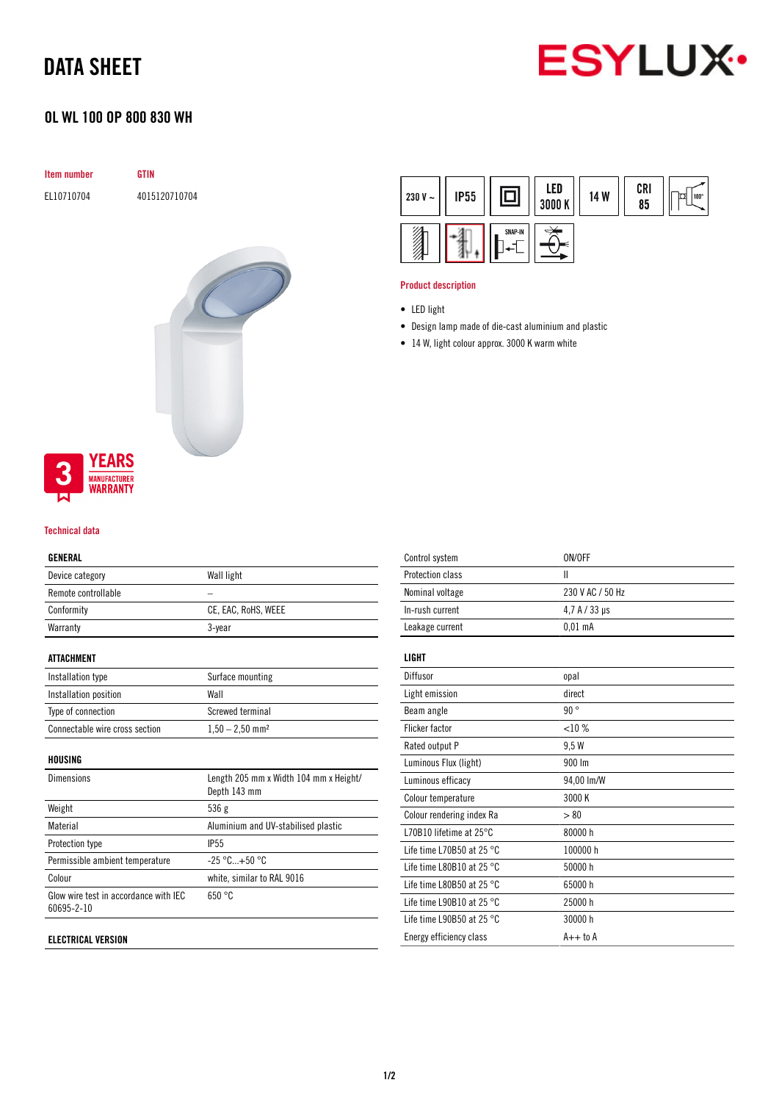## DATA SHEET



### OL WL 100 OP 800 830 WH

| Item number | <b>GTIN</b>   |
|-------------|---------------|
| EL10710704  | 4015120710704 |
|             |               |
|             |               |
|             |               |
|             |               |
|             |               |
|             |               |
|             |               |
|             |               |
|             |               |
|             |               |



#### Technical data

### GENERAL

| <b>ULIILIML</b>     |                     |
|---------------------|---------------------|
| Device category     | Wall light          |
| Remote controllable |                     |
| Conformity          | CE, EAC, RoHS, WEEE |
| Warranty            | 3-year              |
| <b>ATTACHMENT</b>   |                     |

| Installation type              | Surface mounting              |
|--------------------------------|-------------------------------|
| Installation position          | Wall                          |
| Type of connection             | Screwed terminal              |
| Connectable wire cross section | $1.50 - 2.50$ mm <sup>2</sup> |

#### HOUSING

| <b>Dimensions</b>                                   | Length 205 mm x Width 104 mm x Height/<br>Depth 143 mm |
|-----------------------------------------------------|--------------------------------------------------------|
| Weight                                              | 536g                                                   |
| Material                                            | Aluminium and UV-stabilised plastic                    |
| Protection type                                     | <b>IP55</b>                                            |
| Permissible ambient temperature                     | $-25 °C+50 °C$                                         |
| Colour                                              | white, similar to RAL 9016                             |
| Glow wire test in accordance with IEC<br>60695-2-10 | 650 °C                                                 |
|                                                     |                                                        |

#### ELECTRICAL VERSION

| 230 V $\sim$ | <b>IP55</b> |         | LED<br>3000 K | 14 W | CRI<br>85 | 100° |
|--------------|-------------|---------|---------------|------|-----------|------|
|              |             | SNAP-IN |               |      |           |      |

#### Product description

- Design lamp made of die-cast aluminium and plastic
- 14 W, light colour approx. 3000 K warm white

| Control system                      | ON/OFF           |
|-------------------------------------|------------------|
| Protection class                    | Ш                |
| Nominal voltage                     | 230 V AC / 50 Hz |
| In-rush current                     | 4.7 A / 33 us    |
| Leakage current                     | $0.01$ mA        |
| LIGHT                               |                  |
| Diffusor                            | opal             |
| Light emission                      | direct           |
| Beam angle                          | 90°              |
| Flicker factor                      | <10%             |
| Rated output P                      | 9.5 W            |
| Luminous Flux (light)               | 900 lm           |
| Luminous efficacy                   | 94,00 lm/W       |
| Colour temperature                  | 3000 K           |
| Colour rendering index Ra           | > 80             |
| L70B10 lifetime at $25^{\circ}$ C   | 80000 h          |
| Life time L70B50 at 25 $^{\circ}$ C | 100000 h         |
| Life time L80B10 at 25 $^{\circ}$ C | 50000 h          |
| Life time L80B50 at 25 $^{\circ}$ C | 65000h           |
| Life time L90B10 at 25 $^{\circ}$ C | 25000h           |
| Life time L90B50 at 25 $^{\circ}$ C | 30000 h          |
| Energy efficiency class             | $A++$ to $A$     |
|                                     |                  |

<sup>•</sup> LED light